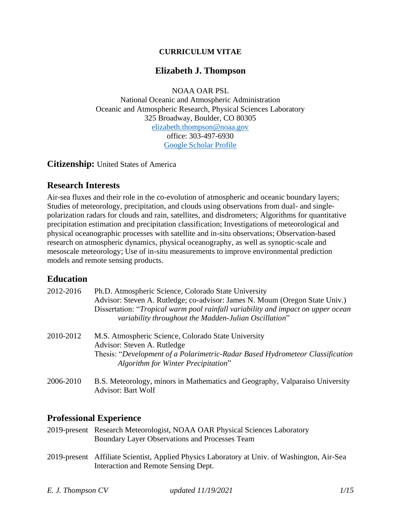#### **CURRICULUM VITAE**

### **Elizabeth J. Thompson**

NOAA OAR PSL

National Oceanic and Atmospheric Administration Oceanic and Atmospheric Research, Physical Sciences Laboratory 325 Broadway, Boulder, CO 80305 [elizabeth.thompson@noaa.gov](mailto:elizabeth.thompson@noaa.gov) office: 303-497-6930 [Google Scholar Profile](https://scholar.google.com/citations?user=kqnHxqEAAAAJ&hl=en)

**Citizenship:** United States of America

#### **Research Interests**

Air-sea fluxes and their role in the co-evolution of atmospheric and oceanic boundary layers; Studies of meteorology, precipitation, and clouds using observations from dual- and singlepolarization radars for clouds and rain, satellites, and disdrometers; Algorithms for quantitative precipitation estimation and precipitation classification; Investigations of meteorological and physical oceanographic processes with satellite and in-situ observations; Observation-based research on atmospheric dynamics, physical oceanography, as well as synoptic-scale and mesoscale meteorology; Use of in-situ measurements to improve environmental prediction models and remote sensing products.

# **Education**

| 2012-2016 | Ph.D. Atmospheric Science, Colorado State University<br>Advisor: Steven A. Rutledge; co-advisor: James N. Moum (Oregon State Univ.)<br>Dissertation: "Tropical warm pool rainfall variability and impact on upper ocean<br>variability throughout the Madden-Julian Oscillation" |
|-----------|----------------------------------------------------------------------------------------------------------------------------------------------------------------------------------------------------------------------------------------------------------------------------------|
| 2010-2012 | M.S. Atmospheric Science, Colorado State University<br>Advisor: Steven A. Rutledge<br>Thesis: "Development of a Polarimetric-Radar Based Hydrometeor Classification<br>Algorithm for Winter Precipitation"                                                                       |
| 2006-2010 | B.S. Meteorology, minors in Mathematics and Geography, Valparaiso University<br>Advisor: Bart Wolf                                                                                                                                                                               |

# **Professional Experience**

- 2019-present Research Meteorologist, NOAA OAR Physical Sciences Laboratory Boundary Layer Observations and Processes Team
- 2019-present Affiliate Scientist, Applied Physics Laboratory at Univ. of Washington, Air-Sea Interaction and Remote Sensing Dept.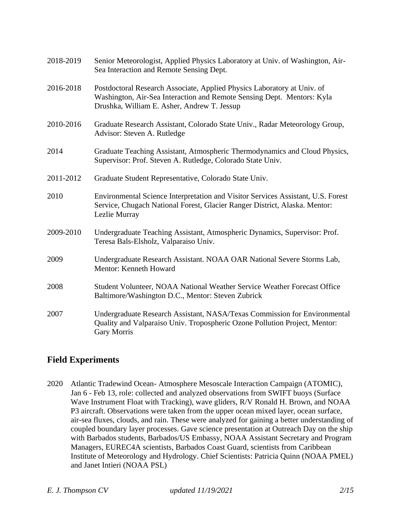| 2018-2019 | Senior Meteorologist, Applied Physics Laboratory at Univ. of Washington, Air-<br>Sea Interaction and Remote Sensing Dept.                                                                        |
|-----------|--------------------------------------------------------------------------------------------------------------------------------------------------------------------------------------------------|
| 2016-2018 | Postdoctoral Research Associate, Applied Physics Laboratory at Univ. of<br>Washington, Air-Sea Interaction and Remote Sensing Dept. Mentors: Kyla<br>Drushka, William E. Asher, Andrew T. Jessup |
| 2010-2016 | Graduate Research Assistant, Colorado State Univ., Radar Meteorology Group,<br>Advisor: Steven A. Rutledge                                                                                       |
| 2014      | Graduate Teaching Assistant, Atmospheric Thermodynamics and Cloud Physics,<br>Supervisor: Prof. Steven A. Rutledge, Colorado State Univ.                                                         |
| 2011-2012 | Graduate Student Representative, Colorado State Univ.                                                                                                                                            |
| 2010      | Environmental Science Interpretation and Visitor Services Assistant, U.S. Forest<br>Service, Chugach National Forest, Glacier Ranger District, Alaska. Mentor:<br>Lezlie Murray                  |
| 2009-2010 | Undergraduate Teaching Assistant, Atmospheric Dynamics, Supervisor: Prof.<br>Teresa Bals-Elsholz, Valparaiso Univ.                                                                               |
| 2009      | Undergraduate Research Assistant. NOAA OAR National Severe Storms Lab,<br>Mentor: Kenneth Howard                                                                                                 |
| 2008      | Student Volunteer, NOAA National Weather Service Weather Forecast Office<br>Baltimore/Washington D.C., Mentor: Steven Zubrick                                                                    |
| 2007      | Undergraduate Research Assistant, NASA/Texas Commission for Environmental<br>Quality and Valparaiso Univ. Tropospheric Ozone Pollution Project, Mentor:<br><b>Gary Morris</b>                    |

# **Field Experiments**

2020 Atlantic Tradewind Ocean- Atmosphere Mesoscale Interaction Campaign (ATOMIC), Jan 6 - Feb 13, role: collected and analyzed observations from SWIFT buoys (Surface Wave Instrument Float with Tracking), wave gliders, R/V Ronald H. Brown, and NOAA P3 aircraft. Observations were taken from the upper ocean mixed layer, ocean surface, air-sea fluxes, clouds, and rain. These were analyzed for gaining a better understanding of coupled boundary layer processes. Gave science presentation at Outreach Day on the ship with Barbados students, Barbados/US Embassy, NOAA Assistant Secretary and Program Managers, EUREC4A scientists, Barbados Coast Guard, scientists from Caribbean Institute of Meteorology and Hydrology. Chief Scientists: Patricia Quinn (NOAA PMEL) and Janet Intieri (NOAA PSL)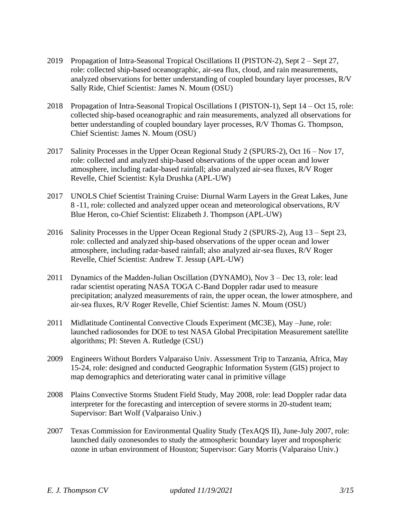- 2019 Propagation of Intra-Seasonal Tropical Oscillations II (PISTON-2), Sept 2 Sept 27, role: collected ship-based oceanographic, air-sea flux, cloud, and rain measurements, analyzed observations for better understanding of coupled boundary layer processes, R/V Sally Ride, Chief Scientist: James N. Moum (OSU)
- 2018 Propagation of Intra-Seasonal Tropical Oscillations I (PISTON-1), Sept 14 Oct 15, role: collected ship-based oceanographic and rain measurements, analyzed all observations for better understanding of coupled boundary layer processes, R/V Thomas G. Thompson, Chief Scientist: James N. Moum (OSU)
- 2017 Salinity Processes in the Upper Ocean Regional Study 2 (SPURS-2), Oct 16 Nov 17, role: collected and analyzed ship-based observations of the upper ocean and lower atmosphere, including radar-based rainfall; also analyzed air-sea fluxes, R/V Roger Revelle, Chief Scientist: Kyla Drushka (APL-UW)
- 2017 UNOLS Chief Scientist Training Cruise: Diurnal Warm Layers in the Great Lakes, June 8 -11, role: collected and analyzed upper ocean and meteorological observations, R/V Blue Heron, co-Chief Scientist: Elizabeth J. Thompson (APL-UW)
- 2016 Salinity Processes in the Upper Ocean Regional Study 2 (SPURS-2), Aug 13 Sept 23, role: collected and analyzed ship-based observations of the upper ocean and lower atmosphere, including radar-based rainfall; also analyzed air-sea fluxes, R/V Roger Revelle, Chief Scientist: Andrew T. Jessup (APL-UW)
- 2011 Dynamics of the Madden-Julian Oscillation (DYNAMO), Nov 3 Dec 13, role: lead radar scientist operating NASA TOGA C-Band Doppler radar used to measure precipitation; analyzed measurements of rain, the upper ocean, the lower atmosphere, and air-sea fluxes, R/V Roger Revelle, Chief Scientist: James N. Moum (OSU)
- 2011 Midlatitude Continental Convective Clouds Experiment (MC3E), May –June, role: launched radiosondes for DOE to test NASA Global Precipitation Measurement satellite algorithms; PI: Steven A. Rutledge (CSU)
- 2009 Engineers Without Borders Valparaiso Univ. Assessment Trip to Tanzania, Africa, May 15-24, role: designed and conducted Geographic Information System (GIS) project to map demographics and deteriorating water canal in primitive village
- 2008 Plains Convective Storms Student Field Study, May 2008, role: lead Doppler radar data interpreter for the forecasting and interception of severe storms in 20-student team; Supervisor: Bart Wolf (Valparaiso Univ.)
- 2007 Texas Commission for Environmental Quality Study (TexAQS II), June-July 2007, role: launched daily ozonesondes to study the atmospheric boundary layer and tropospheric ozone in urban environment of Houston; Supervisor: Gary Morris (Valparaiso Univ.)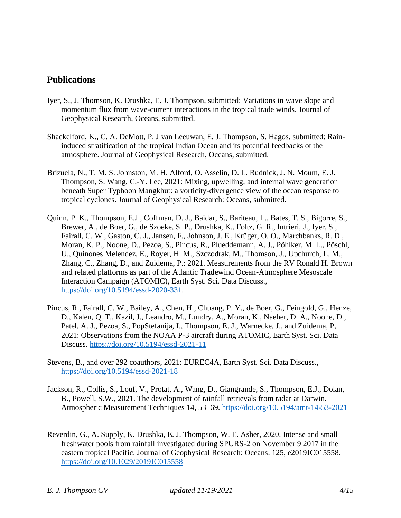## **Publications**

- Iyer, S., J. Thomson, K. Drushka, E. J. Thompson, submitted: Variations in wave slope and momentum flux from wave-current interactions in the tropical trade winds. Journal of Geophysical Research, Oceans, submitted.
- Shackelford, K., C. A. DeMott, P. J van Leeuwan, E. J. Thompson, S. Hagos, submitted: Raininduced stratification of the tropical Indian Ocean and its potential feedbacks ot the atmosphere. Journal of Geophysical Research, Oceans, submitted.
- Brizuela, N., T. M. S. Johnston, M. H. Alford, O. Asselin, D. L. Rudnick, J. N. Moum, E. J. Thompson, S. Wang, C.-Y. Lee, 2021: Mixing, upwelling, and internal wave generation beneath Super Typhoon Mangkhut: a vorticity-divergence view of the ocean response to tropical cyclones. Journal of Geophysical Research: Oceans, submitted.
- Quinn, P. K., Thompson, E.J., Coffman, D. J., Baidar, S., Bariteau, L., Bates, T. S., Bigorre, S., Brewer, A., de Boer, G., de Szoeke, S. P., Drushka, K., Foltz, G. R., Intrieri, J., Iyer, S., Fairall, C. W., Gaston, C. J., Jansen, F., Johnson, J. E., Krüger, O. O., Marchbanks, R. D., Moran, K. P., Noone, D., Pezoa, S., Pincus, R., Plueddemann, A. J., Pöhlker, M. L., Pöschl, U., Quinones Melendez, E., Royer, H. M., Szczodrak, M., Thomson, J., Upchurch, L. M., Zhang, C., Zhang, D., and Zuidema, P.: 2021. Measurements from the RV Ronald H. Brown and related platforms as part of the Atlantic Tradewind Ocean-Atmosphere Mesoscale Interaction Campaign (ATOMIC), Earth Syst. Sci. Data Discuss., [https://doi.org/10.5194/essd-2020-331.](https://essd.copernicus.org/preprints/essd-2020-331/)
- Pincus, R., Fairall, C. W., Bailey, A., Chen, H., Chuang, P. Y., de Boer, G., Feingold, G., Henze, D., Kalen, Q. T., Kazil, J., Leandro, M., Lundry, A., Moran, K., Naeher, D. A., Noone, D., Patel, A. J., Pezoa, S., PopStefanija, I., Thompson, E. J., Warnecke, J., and Zuidema, P, 2021: Observations from the NOAA P-3 aircraft during ATOMIC, Earth Syst. Sci. Data Discuss.<https://doi.org/10.5194/essd-2021-11>
- Stevens, B., and over 292 coauthors, 2021: EUREC4A, Earth Syst. Sci. Data Discuss., <https://doi.org/10.5194/essd-2021-18>
- Jackson, R., Collis, S., Louf, V., Protat, A., Wang, D., Giangrande, S., Thompson, E.J., Dolan, B., Powell, S.W., 2021. The development of rainfall retrievals from radar at Darwin. Atmospheric Measurement Techniques 14, 53–69.<https://doi.org/10.5194/amt-14-53-2021>
- Reverdin, G., A. Supply, K. Drushka, E. J. Thompson, W. E. Asher, 2020. Intense and small freshwater pools from rainfall investigated during SPURS-2 on November 9 2017 in the eastern tropical Pacific. Journal of Geophysical Research: Oceans. 125, e2019JC015558. <https://doi.org/10.1029/2019JC015558>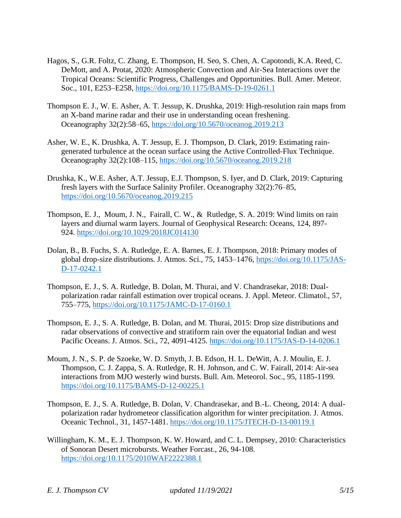- Hagos, S., G.R. Foltz, C. Zhang, E. Thompson, H. Seo, S. Chen, A. Capotondi, K.A. Reed, C. DeMott, and A. Protat, 2020: Atmospheric Convection and Air-Sea Interactions over the Tropical Oceans: Scientific Progress, Challenges and Opportunities. Bull. Amer. Meteor. Soc., 101, E253–E258,<https://doi.org/10.1175/BAMS-D-19-0261.1>
- Thompson E. J., W. E. Asher, A. T. Jessup, K. Drushka, 2019: High-resolution rain maps from an X-band marine radar and their use in understanding ocean freshening. Oceanography 32(2):58–65,<https://doi.org/10.5670/oceanog.2019.213>
- Asher, W. E., K. Drushka, A. T. Jessup, E. J. Thompson, D. Clark, 2019: Estimating raingenerated turbulence at the ocean surface using the Active Controlled-Flux Technique. Oceanography 32(2):108–115,<https://doi.org/10.5670/oceanog.2019.218>
- Drushka, K., W.E. Asher, A.T. Jessup, E.J. Thompson, S. Iyer, and D. Clark, 2019: Capturing fresh layers with the Surface Salinity Profiler. Oceanography 32(2):76–85, <https://doi.org/10.5670/oceanog.2019.215>
- Thompson, E. J., Moum, J. N., Fairall, C. W., & Rutledge, S. A. 2019: Wind limits on rain layers and diurnal warm layers. Journal of Geophysical Research: Oceans, 124, 897- 924. <https://doi.org/10.1029/2018JC014130>
- Dolan, B., B. Fuchs, S. A. Rutledge, E. A. Barnes, E. J. Thompson, 2018: Primary modes of global drop-size distributions. J. Atmos. Sci., 75, 1453–1476, [https://doi.org/10.1175/JAS-](https://doi.org/10.1175/JAS-D-17-0242.1)[D-17-0242.1](https://doi.org/10.1175/JAS-D-17-0242.1)
- Thompson, E. J., S. A. Rutledge, B. Dolan, M. Thurai, and V. Chandrasekar, 2018: Dualpolarization radar rainfall estimation over tropical oceans. J. Appl. Meteor. Climatol., 57, 755–775,<https://doi.org/10.1175/JAMC-D-17-0160.1>
- Thompson, E. J., S. A. Rutledge, B. Dolan, and M. Thurai, 2015: Drop size distributions and radar observations of convective and stratiform rain over the equatorial Indian and west Pacific Oceans. J. Atmos. Sci., 72, 4091-4125.<https://doi.org/10.1175/JAS-D-14-0206.1>
- Moum, J. N., S. P. de Szoeke, W. D. Smyth, J. B. Edson, H. L. DeWitt, A. J. Moulin, E. J. Thompson, C. J. Zappa, S. A. Rutledge, R. H. Johnson, and C. W. Fairall, 2014: Air-sea interactions from MJO westerly wind bursts. Bull. Am. Meteorol. Soc., 95, 1185-1199. <https://doi.org/10.1175/BAMS-D-12-00225.1>
- Thompson, E. J., S. A. Rutledge, B. Dolan, V. Chandrasekar, and B.-L. Cheong, 2014: A dualpolarization radar hydrometeor classification algorithm for winter precipitation. J. Atmos. Oceanic Technol., 31, 1457-1481.<https://doi.org/10.1175/JTECH-D-13-00119.1>
- Willingham, K. M., E. J. Thompson, K. W. Howard, and C. L. Dempsey, 2010: Characteristics of Sonoran Desert microbursts. Weather Forcast., 26, 94-108. <https://doi.org/10.1175/2010WAF2222388.1>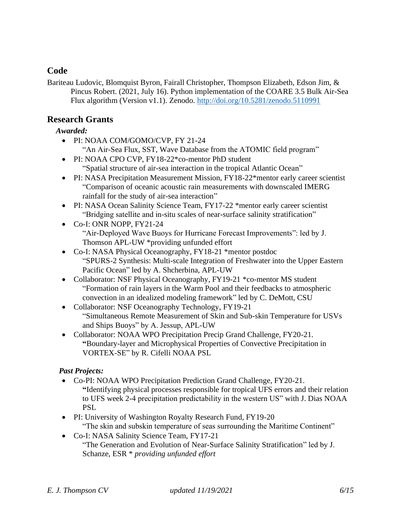# **Code**

Bariteau Ludovic, Blomquist Byron, Fairall Christopher, Thompson Elizabeth, Edson Jim, & Pincus Robert. (2021, July 16). Python implementation of the COARE 3.5 Bulk Air-Sea Flux algorithm (Version v1.1). Zenodo.<http://doi.org/10.5281/zenodo.5110991>

# **Research Grants**

#### *Awarded:*

- PI: NOAA COM/GOMO/CVP, FY 21-24
	- "An Air-Sea Flux, SST, Wave Database from the ATOMIC field program"
- PI: NOAA CPO CVP, FY18-22<sup>\*</sup>co-mentor PhD student "Spatial structure of air-sea interaction in the tropical Atlantic Ocean"
- PI: NASA Precipitation Measurement Mission, FY18-22\*mentor early career scientist "Comparison of oceanic acoustic rain measurements with downscaled IMERG rainfall for the study of air-sea interaction"
- PI: NASA Ocean Salinity Science Team, FY17-22 \*mentor early career scientist "Bridging satellite and in-situ scales of near-surface salinity stratification"
- Co-I: ONR NOPP, FY21-24 "Air-Deployed Wave Buoys for Hurricane Forecast Improvements": led by J. Thomson APL-UW \*providing unfunded effort
- Co-I: NASA Physical Oceanography, FY18-21 \*mentor postdoc "SPURS-2 Synthesis: Multi-scale Integration of Freshwater into the Upper Eastern Pacific Ocean" led by A. Shcherbina, APL-UW
- Collaborator: NSF Physical Oceanography, FY19-21 \*co-mentor MS student "Formation of rain layers in the Warm Pool and their feedbacks to atmospheric convection in an idealized modeling framework" led by C. DeMott, CSU
- Collaborator: NSF Oceanography Technology, FY19-21 "Simultaneous Remote Measurement of Skin and Sub-skin Temperature for USVs and Ships Buoys" by A. Jessup, APL-UW
- Collaborator: NOAA WPO Precipitation Precip Grand Challenge, FY20-21. **"**Boundary-layer and Microphysical Properties of Convective Precipitation in VORTEX-SE" by R. Cifelli NOAA PSL

#### *Past Projects:*

- Co-PI: NOAA WPO Precipitation Prediction Grand Challenge, FY20-21. **"**Identifying physical processes responsible for tropical UFS errors and their relation to UFS week 2-4 precipitation predictability in the western US" with J. Dias NOAA **PSL**
- PI: University of Washington Royalty Research Fund, FY19-20 "The skin and subskin temperature of seas surrounding the Maritime Continent"
- Co-I: NASA Salinity Science Team, FY17-21 "The Generation and Evolution of Near-Surface Salinity Stratification" led by J. Schanze, ESR \* *providing unfunded effort*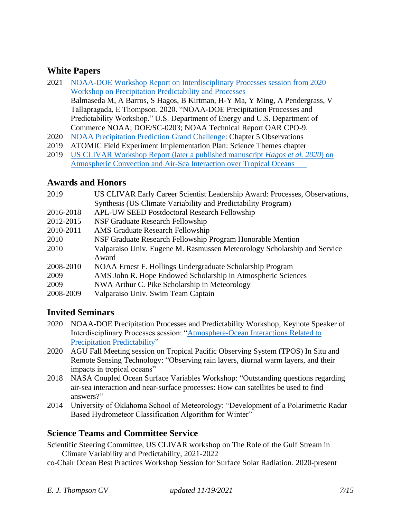## **White Papers**

- 2021 [NOAA-DOE Workshop Report on Interdisciplinary Processes session from 2020](Balmaseda%20M,%20A%20Barros,%20S%20Hagos,%20B%20Kirtman,%20H-Y%20Ma,%20Y%20Ming,%20A%20Pendergrass,%20V%20Tallapragada,%20E%20Thompson.%202020.%20)  [Workshop on Precipitation Predictability and Processes](Balmaseda%20M,%20A%20Barros,%20S%20Hagos,%20B%20Kirtman,%20H-Y%20Ma,%20Y%20Ming,%20A%20Pendergrass,%20V%20Tallapragada,%20E%20Thompson.%202020.%20) Balmaseda M, A Barros, S Hagos, B Kirtman, H-Y Ma, Y Ming, A Pendergrass, V Tallapragada, E Thompson. 2020. "NOAA-DOE Precipitation Processes and Predictability Workshop." U.S. Department of Energy and U.S. Department of Commerce NOAA; DOE/SC-0203; NOAA Technical Report OAR CPO-9.
- 2020 [NOAA Precipitation Prediction Grand Challenge:](https://cpo.noaa.gov/Portals/0/Docs/ESSM/Events/2020/NOAA_DOE_PrecipWorkshopReport_July2021.pdf?ver=2021-07-14-160100-057) Chapter 5 Observations
- 2019 ATOMIC Field Experiment Implementation Plan: Science Themes chapter
- 2019 [US CLIVAR Workshop Report \(later a published manuscript](https://indd.adobe.com/view/a255ef0e-44a0-4eff-8c45-ce876f40d91d) *Hagos et al. 2020*) on [Atmospheric Convection and Air-Sea Interaction over Tropical Oceans](https://indd.adobe.com/view/a255ef0e-44a0-4eff-8c45-ce876f40d91d)

#### **Awards and Honors**

| 2019      | US CLIVAR Early Career Scientist Leadership Award: Processes, Observations, |
|-----------|-----------------------------------------------------------------------------|
|           | Synthesis (US Climate Variability and Predictability Program)               |
| 2016-2018 | <b>APL-UW SEED Postdoctoral Research Fellowship</b>                         |
| 2012-2015 | NSF Graduate Research Fellowship                                            |
| 2010-2011 | <b>AMS</b> Graduate Research Fellowship                                     |
| 2010      | NSF Graduate Research Fellowship Program Honorable Mention                  |
| 2010      | Valparaiso Univ. Eugene M. Rasmussen Meteorology Scholarship and Service    |
|           | Award                                                                       |
| 2008-2010 | NOAA Ernest F. Hollings Undergraduate Scholarship Program                   |
| 2009      | AMS John R. Hope Endowed Scholarship in Atmospheric Sciences                |
| 2009      | NWA Arthur C. Pike Scholarship in Meteorology                               |
| 2008-2009 | Valparaiso Univ. Swim Team Captain                                          |

# **Invited Seminars**

- 2020 NOAA-DOE Precipitation Processes and Predictability Workshop, Keynote Speaker of Interdisciplinary Processes session: ["Atmosphere-Ocean Interactions Related to](https://cpo.noaa.gov/Portals/0/Docs/ESSM/Events/2020/NOAA-DOE-PPPW-presentations/T07_Thompson_OceanAtmosphereInteractionsRelatedToPrecip.pdf?ver=2021-01-11-115453-850)  [Precipitation Predictability"](https://cpo.noaa.gov/Portals/0/Docs/ESSM/Events/2020/NOAA-DOE-PPPW-presentations/T07_Thompson_OceanAtmosphereInteractionsRelatedToPrecip.pdf?ver=2021-01-11-115453-850)
- 2020 AGU Fall Meeting session on Tropical Pacific Observing System (TPOS) In Situ and Remote Sensing Technology: "Observing rain layers, diurnal warm layers, and their impacts in tropical oceans"
- 2018 NASA Coupled Ocean Surface Variables Workshop: "Outstanding questions regarding air-sea interaction and near-surface processes: How can satellites be used to find answers?"
- 2014 University of Oklahoma School of Meteorology: "Development of a Polarimetric Radar Based Hydrometeor Classification Algorithm for Winter"

# **Science Teams and Committee Service**

Scientific Steering Committee, US CLIVAR workshop on The Role of the Gulf Stream in Climate Variability and Predictability, 2021-2022

co-Chair Ocean Best Practices Workshop Session for Surface Solar Radiation. 2020-present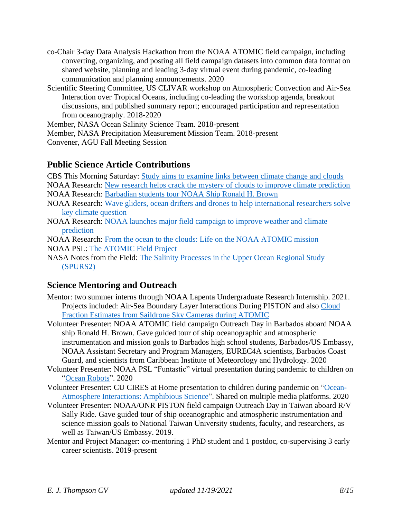- co-Chair 3-day Data Analysis Hackathon from the NOAA ATOMIC field campaign, including converting, organizing, and posting all field campaign datasets into common data format on shared website, planning and leading 3-day virtual event during pandemic, co-leading communication and planning announcements. 2020
- Scientific Steering Committee, US CLIVAR workshop on Atmospheric Convection and Air-Sea Interaction over Tropical Oceans, including co-leading the workshop agenda, breakout discussions, and published summary report; encouraged participation and representation from oceanography. 2018-2020

Member, NASA Ocean Salinity Science Team. 2018-present

Member, NASA Precipitation Measurement Mission Team. 2018-present

Convener, AGU Fall Meeting Session

## **Public Science Article Contributions**

CBS This Morning Saturday: [Study aims to examine links between climate change and clouds](https://www.cbsnews.com/video/study-aims-to-examine-links-between-climate-change-and-clouds/)

- NOAA Research: [New research helps crack the mystery of clouds to improve climate prediction](https://research.noaa.gov/article/ArtMID/587/ArticleID/2788/New-research-helps-crack-the-mystery-of-clouds-to-improve-climate-prediction)
- NOAA Research: [Barbadian students tour NOAA Ship Ronald H. Brown](https://research.noaa.gov/article/ArtMID/587/ArticleID/2588/Barbadian-students-tour-NOAA-Ship-Ronald-H-Brown)
- NOAA Research: [Wave gliders, ocean drifters and drones to help international researchers solve](https://research.noaa.gov/article/ArtMID/587/ArticleID/2582/Wavegliders-ocean-drifters-and-drones-to-help-international-researchers-solve-key-climate-question)  [key climate question](https://research.noaa.gov/article/ArtMID/587/ArticleID/2582/Wavegliders-ocean-drifters-and-drones-to-help-international-researchers-solve-key-climate-question)
- NOAA Research: [NOAA launches major field campaign to improve weather and climate](https://research.noaa.gov/article/ArtMID/587/ArticleID/2577)  [prediction](https://research.noaa.gov/article/ArtMID/587/ArticleID/2577)

NOAA Research: [From the ocean to the clouds: Life on the NOAA ATOMIC mission](https://research.noaa.gov/article/ArtMID/587/ArticleID/2605/From-the-ocean-to-the-clouds-What-life-is-like-on-a-major-NOAA-research-mission) NOAA PSL: [The ATOMIC Field Project](https://psl.noaa.gov/atomic/)

NASA Notes from the Field: [The Salinity Processes in the Upper Ocean Regional Study](https://earthobservatory.nasa.gov/blogs/fromthefield/category/spurs/)  [\(SPURS2\)](https://earthobservatory.nasa.gov/blogs/fromthefield/category/spurs/)

# **Science Mentoring and Outreach**

- Mentor: two summer interns through NOAA Lapenta Undergraduate Research Internship. 2021. Projects included: Air-Sea Boundary Layer Interactions During PISTON and als[o Cloud](https://github.com/ampate/cloudFractionProject)  [Fraction Estimates from Saildrone Sky Cameras during ATOMIC](https://github.com/ampate/cloudFractionProject)
- Volunteer Presenter: NOAA ATOMIC field campaign Outreach Day in Barbados aboard NOAA ship Ronald H. Brown. Gave guided tour of ship oceanographic and atmospheric instrumentation and mission goals to Barbados high school students, Barbados/US Embassy, NOAA Assistant Secretary and Program Managers, EUREC4A scientists, Barbados Coast Guard, and scientists from Caribbean Institute of Meteorology and Hydrology. 2020
- Volunteer Presenter: NOAA PSL "Funtastic" virtual presentation during pandemic to children on ["Ocean Robots"](https://www.psl.noaa.gov/outreach/funtastic-science-talks/). 2020
- Volunteer Presenter: CU CIRES at Home presentation to children during pandemic on ["Ocean-](https://cires.colorado.edu/outreach/scienceathome/thompson)[Atmosphere Interactions: Amphibious Science"](https://cires.colorado.edu/outreach/scienceathome/thompson). Shared on multiple media platforms. 2020
- Volunteer Presenter: NOAA/ONR PISTON field campaign Outreach Day in Taiwan aboard R/V Sally Ride. Gave guided tour of ship oceanographic and atmospheric instrumentation and science mission goals to National Taiwan University students, faculty, and researchers, as well as Taiwan/US Embassy. 2019.
- Mentor and Project Manager: co-mentoring 1 PhD student and 1 postdoc, co-supervising 3 early career scientists. 2019-present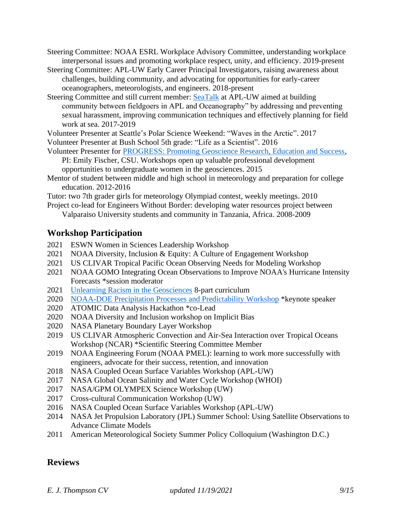- Steering Committee: NOAA ESRL Workplace Advisory Committee, understanding workplace interpersonal issues and promoting workplace respect, unity, and efficiency. 2019-present
- Steering Committee: APL-UW Early Career Principal Investigators, raising awareness about challenges, building community, and advocating for opportunities for early-career oceanographers, meteorologists, and engineers. 2018-present
- Steering Committee and still current member: [SeaTalk](http://psc.apl.washington.edu/HLD/SEATALK/Seatalk.html) at APL-UW aimed at building community between fieldgoers in APL and Oceanography" by addressing and preventing sexual harassment, improving communication techniques and effectively planning for field work at sea. 2017-2019
- Volunteer Presenter at Seattle's Polar Science Weekend: "Waves in the Arctic". 2017
- Volunteer Presenter at Bush School 5th grade: "Life as a Scientist". 2016
- Volunteer Presenter for [PROGRESS: Promoting Geoscience Research, Education and Success,](https://geosciencewomen.org/about-this-program/) PI: Emily Fischer, CSU. Workshops open up valuable professional development opportunities to undergraduate women in the geosciences. 2015
- Mentor of student between middle and high school in meteorology and preparation for college education. 2012-2016
- Tutor: two 7th grader girls for meteorology Olympiad contest, weekly meetings. 2010
- Project co-lead for Engineers Without Border: developing water resources project between Valparaiso University students and community in Tanzania, Africa. 2008-2009

# **Workshop Participation**

- 2021 ESWN Women in Sciences Leadership Workshop
- 2021 NOAA Diversity, Inclusion & Equity: A Culture of Engagement Workshop
- 2021 US CLIVAR Tropical Pacific Ocean Observing Needs for Modeling Workshop
- 2021 NOAA GOMO Integrating Ocean Observations to Improve NOAA's Hurricane Intensity Forecasts \*session moderator
- 2021 [Unlearning Racism in the Geosciences](https://urgeoscience.org/) 8-part curriculum
- 2020 [NOAA-DOE Precipitation Processes and Predictability Workshop](https://cpo.noaa.gov/News/News-Article/ArtMID/6226/ArticleID/2030/NOAA-DOE-Precipitation-Processes-and-Predictability-Workshop) \*keynote speaker
- 2020 ATOMIC Data Analysis Hackathon \*co-Lead
- 2020 NOAA Diversity and Inclusion workshop on Implicit Bias
- 2020 NASA Planetary Boundary Layer Workshop
- 2019 US CLIVAR Atmospheric Convection and Air-Sea Interaction over Tropical Oceans Workshop (NCAR) \*Scientific Steering Committee Member
- 2019 NOAA Engineering Forum (NOAA PMEL): learning to work more successfully with engineers, advocate for their success, retention, and innovation
- 2018 NASA Coupled Ocean Surface Variables Workshop (APL-UW)
- 2017 NASA Global Ocean Salinity and Water Cycle Workshop (WHOI)
- 2017 NASA/GPM OLYMPEX Science Workshop (UW)
- 2017 Cross-cultural Communication Workshop (UW)
- 2016 NASA Coupled Ocean Surface Variables Workshop (APL-UW)
- 2014 NASA Jet Propulsion Laboratory (JPL) Summer School: Using Satellite Observations to Advance Climate Models
- 2011 American Meteorological Society Summer Policy Colloquium (Washington D.C.)

# **Reviews**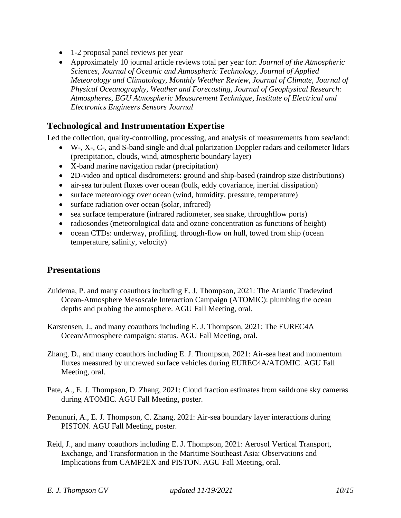- 1-2 proposal panel reviews per year
- Approximately 10 journal article reviews total per year for: *Journal of the Atmospheric Sciences, Journal of Oceanic and Atmospheric Technology, Journal of Applied Meteorology and Climatology, Monthly Weather Review, Journal of Climate, Journal of Physical Oceanography, Weather and Forecasting, Journal of Geophysical Research: Atmospheres, EGU Atmospheric Measurement Technique, Institute of Electrical and Electronics Engineers Sensors Journal*

## **Technological and Instrumentation Expertise**

Led the collection, quality-controlling, processing, and analysis of measurements from sea/land:

- W-, X-, C-, and S-band single and dual polarization Doppler radars and ceilometer lidars (precipitation, clouds, wind, atmospheric boundary layer)
- X-band marine navigation radar (precipitation)
- 2D-video and optical disdrometers: ground and ship-based (raindrop size distributions)
- air-sea turbulent fluxes over ocean (bulk, eddy covariance, inertial dissipation)
- surface meteorology over ocean (wind, humidity, pressure, temperature)
- surface radiation over ocean (solar, infrared)
- sea surface temperature (infrared radiometer, sea snake, throughflow ports)
- radiosondes (meteorological data and ozone concentration as functions of height)
- ocean CTDs: underway, profiling, through-flow on hull, towed from ship (ocean temperature, salinity, velocity)

# **Presentations**

- Zuidema, P. and many coauthors including E. J. Thompson, 2021: The Atlantic Tradewind Ocean-Atmosphere Mesoscale Interaction Campaign (ATOMIC): plumbing the ocean depths and probing the atmosphere. AGU Fall Meeting, oral.
- Karstensen, J., and many coauthors including E. J. Thompson, 2021: The EUREC4A Ocean/Atmosphere campaign: status. AGU Fall Meeting, oral.
- Zhang, D., and many coauthors including E. J. Thompson, 2021: Air-sea heat and momentum fluxes measured by uncrewed surface vehicles during EUREC4A/ATOMIC. AGU Fall Meeting, oral.
- Pate, A., E. J. Thompson, D. Zhang, 2021: Cloud fraction estimates from saildrone sky cameras during ATOMIC. AGU Fall Meeting, poster.
- Penunuri, A., E. J. Thompson, C. Zhang, 2021: Air-sea boundary layer interactions during PISTON. AGU Fall Meeting, poster.
- Reid, J., and many coauthors including E. J. Thompson, 2021: Aerosol Vertical Transport, Exchange, and Transformation in the Maritime Southeast Asia: Observations and Implications from CAMP2EX and PISTON. AGU Fall Meeting, oral.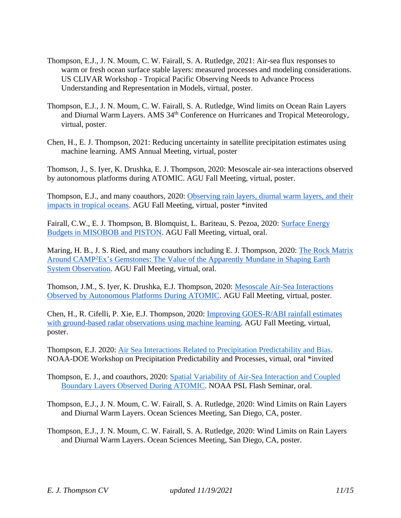- Thompson, E.J., J. N. Moum, C. W. Fairall, S. A. Rutledge, 2021: Air-sea flux responses to warm or fresh ocean surface stable layers: measured processes and modeling considerations. US CLIVAR Workshop - Tropical Pacific Observing Needs to Advance Process Understanding and Representation in Models, virtual, poster.
- Thompson, E.J., J. N. Moum, C. W. Fairall, S. A. Rutledge, Wind limits on Ocean Rain Layers and Diurnal Warm Layers. AMS 34<sup>th</sup> Conference on Hurricanes and Tropical Meteorology, virtual, poster.
- Chen, H., E. J. Thompson, 2021: Reducing uncertainty in satellite precipitation estimates using machine learning. AMS Annual Meeting, virtual, poster

Thomson, J., S. Iyer, K. Drushka, E. J. Thompson, 2020: Mesoscale air-sea interactions observed by autonomous platforms during ATOMIC. AGU Fall Meeting, virtual, poster.

Thompson, E.J., and many coauthors, 2020: [Observing](https://agu2020fallmeeting-agu.ipostersessions.com/?s=F5-09-89-8A-5F-8B-E3-12-94-DD-C5-F4-72-CE-BB-C6) rain layers, diurnal warm layers, and their [impacts](https://agu2020fallmeeting-agu.ipostersessions.com/?s=F5-09-89-8A-5F-8B-E3-12-94-DD-C5-F4-72-CE-BB-C6) in tropical oceans. AGU Fall Meeting, virtual, poster \*invited

Fairall, C.W., E. J. Thompson, B. Blomquist, L. Bariteau, S. Pezoa, 2020: [Surface](https://agu.confex.com/agu/fm20/meetingapp.cgi/Home/Paper/703077) Energy Budgets in [MISOBOB](https://agu.confex.com/agu/fm20/meetingapp.cgi/Home/Paper/703077) and PISTON. AGU Fall Meeting, virtual, oral.

Maring, H. B., J. S. Ried, and many coauthors including E. J. Thompson, 2020: The Rock [Matrix](https://agu.confex.com/agu/fm20/meetingapp.cgi/Home/Paper/702373) Around CAMP<sup>2</sup>Ex's [Gemstones:](https://agu.confex.com/agu/fm20/meetingapp.cgi/Home/Paper/702373) The Value of the Apparently Mundane in Shaping Earth System [Observation.](https://agu.confex.com/agu/fm20/meetingapp.cgi/Home/Paper/702373) AGU Fall Meeting, virtual, oral.

Thomson, J.M., S. Iyer, K. Drushka, E.J. Thompson, 2020: Mesoscale Air-Sea [Interactions](https://agu2020fallmeeting-agu.ipostersessions.com/?s=D0-A6-D7-9F-88-D1-77-99-CB-EB-99-34-97-8F-92-BD) Observed by [Autonomous](https://agu2020fallmeeting-agu.ipostersessions.com/?s=D0-A6-D7-9F-88-D1-77-99-CB-EB-99-34-97-8F-92-BD) Platforms During ATOMIC. AGU Fall Meeting, virtual, poster.

Chen, H., R. Cifelli, P. Xie, E.J. Thompson, 2020: Improving [GOES-R/ABI](https://agu2020fallmeeting-agu.ipostersessions.com/?s=7F-70-5B-A9-3A-49-42-82-03-65-5D-47-E4-12-9F-93) rainfall estimates with [ground-based](https://agu2020fallmeeting-agu.ipostersessions.com/?s=7F-70-5B-A9-3A-49-42-82-03-65-5D-47-E4-12-9F-93) radar observations using machine learning. AGU Fall Meeting, virtual, poster.

Thompson, E.J. 2020: [Air Sea Interactions Related to Precipitation Predictability and Bias.](https://cpo.noaa.gov/Portals/0/Docs/ESSM/Events/2020/NOAA-DOE-PPPW-presentations/T07_Thompson_OceanAtmosphereInteractionsRelatedToPrecip.pdf) NOAA-DOE Workshop on Precipitation Predictability and Processes, virtual, oral \*invited

Thompson, E. J., and coauthors, 2020: Spatial Variability of Air-Sea Interaction and Coupled [Boundary Layers Observed During ATOMIC.](https://psl.noaa.gov/seminars/Abstracts/2020/451.html) NOAA PSL Flash Seminar, oral.

Thompson, E.J., J. N. Moum, C. W. Fairall, S. A. Rutledge, 2020: Wind Limits on Rain Layers and Diurnal Warm Layers. Ocean Sciences Meeting, San Diego, CA, poster.

Thompson, E.J., J. N. Moum, C. W. Fairall, S. A. Rutledge, 2020: Wind Limits on Rain Layers and Diurnal Warm Layers. Ocean Sciences Meeting, San Diego, CA, poster.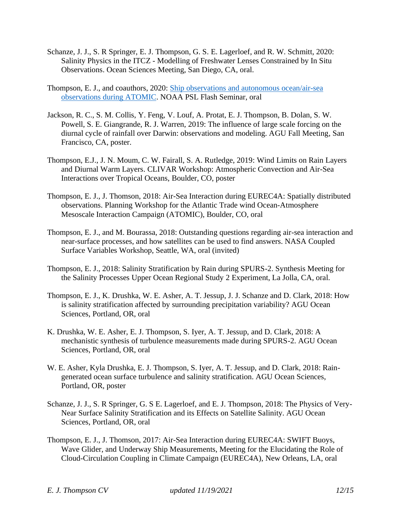- Schanze, J. J., S. R Springer, E. J. Thompson, G. S. E. Lagerloef, and R. W. Schmitt, 2020: Salinity Physics in the ITCZ - Modelling of Freshwater Lenses Constrained by In Situ Observations. Ocean Sciences Meeting, San Diego, CA, oral.
- Thompson, E. J., and coauthors, 2020: [Ship observations and autonomous ocean/air-sea](https://psl.noaa.gov/atomic/pdf/presentations/ATOMIC_ship_UAV_ET.pdf)  [observations during ATOMIC.](https://psl.noaa.gov/atomic/pdf/presentations/ATOMIC_ship_UAV_ET.pdf) NOAA PSL Flash Seminar, oral
- Jackson, R. C., S. M. Collis, Y. Feng, V. Louf, A. Protat, E. J. Thompson, B. Dolan, S. W. Powell, S. E. Giangrande, R. J. Warren, 2019: The influence of large scale forcing on the diurnal cycle of rainfall over Darwin: observations and modeling. AGU Fall Meeting, San Francisco, CA, poster.
- Thompson, E.J., J. N. Moum, C. W. Fairall, S. A. Rutledge, 2019: Wind Limits on Rain Layers and Diurnal Warm Layers. CLIVAR Workshop: Atmospheric Convection and Air-Sea Interactions over Tropical Oceans, Boulder, CO, poster
- Thompson, E. J., J. Thomson, 2018: Air-Sea Interaction during EUREC4A: Spatially distributed observations. Planning Workshop for the Atlantic Trade wind Ocean-Atmosphere Mesoscale Interaction Campaign (ATOMIC), Boulder, CO, oral
- Thompson, E. J., and M. Bourassa, 2018: Outstanding questions regarding air-sea interaction and near-surface processes, and how satellites can be used to find answers. NASA Coupled Surface Variables Workshop, Seattle, WA, oral (invited)
- Thompson, E. J., 2018: Salinity Stratification by Rain during SPURS-2. Synthesis Meeting for the Salinity Processes Upper Ocean Regional Study 2 Experiment, La Jolla, CA, oral.
- Thompson, E. J., K. Drushka, W. E. Asher, A. T. Jessup, J. J. Schanze and D. Clark, 2018: How is salinity stratification affected by surrounding precipitation variability? AGU Ocean Sciences, Portland, OR, oral
- K. Drushka, W. E. Asher, E. J. Thompson, S. Iyer, A. T. Jessup, and D. Clark, 2018: A mechanistic synthesis of turbulence measurements made during SPURS-2. AGU Ocean Sciences, Portland, OR, oral
- W. E. Asher, Kyla Drushka, E. J. Thompson, S. Iyer, A. T. Jessup, and D. Clark, 2018: Raingenerated ocean surface turbulence and salinity stratification. AGU Ocean Sciences, Portland, OR, poster
- Schanze, J. J., S. R Springer, G. S E. Lagerloef, and E. J. Thompson, 2018: The Physics of Very-Near Surface Salinity Stratification and its Effects on Satellite Salinity. AGU Ocean Sciences, Portland, OR, oral
- Thompson, E. J., J. Thomson, 2017: Air-Sea Interaction during EUREC4A: SWIFT Buoys, Wave Glider, and Underway Ship Measurements, Meeting for the Elucidating the Role of Cloud-Circulation Coupling in Climate Campaign (EUREC4A), New Orleans, LA, oral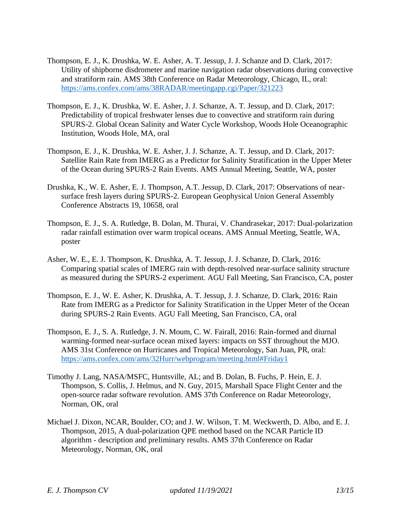- Thompson, E. J., K. Drushka, W. E. Asher, A. T. Jessup, J. J. Schanze and D. Clark, 2017: Utility of shipborne disdrometer and marine navigation radar observations during convective and stratiform rain. AMS 38th Conference on Radar Meteorology, Chicago, IL, oral: <https://ams.confex.com/ams/38RADAR/meetingapp.cgi/Paper/321223>
- Thompson, E. J., K. Drushka, W. E. Asher, J. J. Schanze, A. T. Jessup, and D. Clark, 2017: Predictability of tropical freshwater lenses due to convective and stratiform rain during SPURS-2. Global Ocean Salinity and Water Cycle Workshop, Woods Hole Oceanographic Institution, Woods Hole, MA, oral
- Thompson, E. J., K. Drushka, W. E. Asher, J. J. Schanze, A. T. Jessup, and D. Clark, 2017: Satellite Rain Rate from IMERG as a Predictor for Salinity Stratification in the Upper Meter of the Ocean during SPURS-2 Rain Events. AMS Annual Meeting, Seattle, WA, poster
- Drushka, K., W. E. Asher, E. J. Thompson, A.T. Jessup, D. Clark, 2017: Observations of nearsurface fresh layers during SPURS-2. European Geophysical Union General Assembly Conference Abstracts 19, 10658, oral
- Thompson, E. J., S. A. Rutledge, B. Dolan, M. Thurai, V. Chandrasekar, 2017: Dual-polarization radar rainfall estimation over warm tropical oceans. AMS Annual Meeting, Seattle, WA, poster
- Asher, W. E., E. J. Thompson, K. Drushka, A. T. Jessup, J. J. Schanze, D. Clark, 2016: Comparing spatial scales of IMERG rain with depth-resolved near-surface salinity structure as measured during the SPURS-2 experiment. AGU Fall Meeting, San Francisco, CA, poster
- Thompson, E. J., W. E. Asher, K. Drushka, A. T. Jessup, J. J. Schanze, D. Clark, 2016: Rain Rate from IMERG as a Predictor for Salinity Stratification in the Upper Meter of the Ocean during SPURS-2 Rain Events. AGU Fall Meeting, San Francisco, CA, oral
- Thompson, E. J., S. A. Rutledge, J. N. Moum, C. W. Fairall, 2016: Rain-formed and diurnal warming-formed near-surface ocean mixed layers: impacts on SST throughout the MJO. AMS 31st Conference on Hurricanes and Tropical Meteorology, San Juan, PR, oral: <https://ams.confex.com/ams/32Hurr/webprogram/meeting.html#Friday1>
- Timothy J. Lang, NASA/MSFC, Huntsville, AL; and B. Dolan, B. Fuchs, P. Hein, E. J. Thompson, S. Collis, J. Helmus, and N. Guy, 2015, Marshall Space Flight Center and the open-source radar software revolution. AMS 37th Conference on Radar Meteorology, Norman, OK, oral
- Michael J. Dixon, NCAR, Boulder, CO; and J. W. Wilson, T. M. Weckwerth, D. Albo, and E. J. Thompson, 2015, A dual-polarization QPE method based on the NCAR Particle ID algorithm - description and preliminary results. AMS 37th Conference on Radar Meteorology, Norman, OK, oral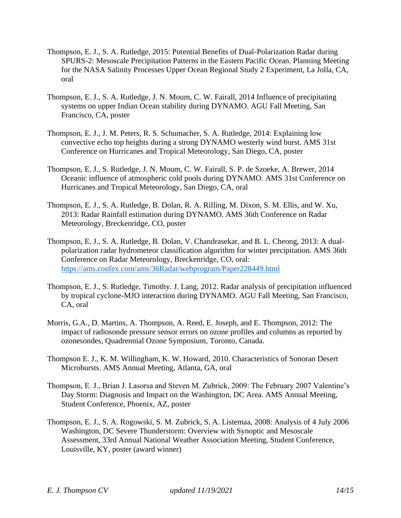- Thompson, E. J., S. A. Rutledge, 2015: Potential Benefits of Dual-Polarization Radar during SPURS-2: Mesoscale Precipitation Patterns in the Eastern Pacific Ocean. Planning Meeting for the NASA Salinity Processes Upper Ocean Regional Study 2 Experiment, La Jolla, CA, oral
- Thompson, E. J., S. A. Rutledge, J. N. Moum, C. W. Fairall, 2014 Influence of precipitating systems on upper Indian Ocean stability during DYNAMO. AGU Fall Meeting, San Francisco, CA, poster
- Thompson, E. J., J. M. Peters, R. S. Schumacher, S. A. Rutledge, 2014: Explaining low convective echo top heights during a strong DYNAMO westerly wind burst. AMS 31st Conference on Hurricanes and Tropical Meteorology, San Diego, CA, poster
- Thompson, E. J., S. Rutledge, J. N. Moum, C. W. Fairall, S. P. de Szoeke, A. Brewer, 2014 Oceanic influence of atmospheric cold pools during DYNAMO. AMS 31st Conference on Hurricanes and Tropical Meteorology, San Diego, CA, oral
- Thompson, E. J., S. A. Rutledge, B. Dolan, R. A. Rilling, M. Dixon, S. M. Ellis, and W. Xu, 2013: Radar Rainfall estimation during DYNAMO. AMS 36th Conference on Radar Meteorology, Breckenridge, CO, poster
- Thompson, E. J., S. A. Rutledge, B. Dolan, V. Chandrasekar, and B. L. Cheong, 2013: A dualpolarization radar hydrometeor classification algorithm for winter precipitation. AMS 36th Conference on Radar Meteorology, Breckenridge, CO, oral: <https://ams.confex.com/ams/36Radar/webprogram/Paper228449.html>
- Thompson, E. J., S. Rutledge, Timothy. J. Lang, 2012. Radar analysis of precipitation influenced by tropical cyclone-MJO interaction during DYNAMO. AGU Fall Meeting, San Francisco, CA, oral
- Morris, G.A., D. Martins, A. Thompson, A. Reed, E. Joseph, and E. Thompson, 2012: The impact of radiosonde pressure sensor errors on ozone profiles and columns as reported by ozonesondes, Quadrennial Ozone Symposium, Toronto, Canada.
- Thompson E. J., K. M. Willingham, K. W. Howard, 2010. Characteristics of Sonoran Desert Microbursts. AMS Annual Meeting, Atlanta, GA, oral
- Thompson, E. J., Brian J. Lasorsa and Steven M. Zubrick, 2009: The February 2007 Valentine's Day Storm: Diagnosis and Impact on the Washington, DC Area. AMS Annual Meeting, Student Conference, Phoenix, AZ, poster
- Thompson, E. J., S. A. Rogowski, S. M. Zubrick, S. A. Listemaa, 2008: Analysis of 4 July 2006 Washington, DC Severe Thunderstorm: Overview with Synoptic and Mesoscale Assessment, 33rd Annual National Weather Association Meeting, Student Conference, Louisville, KY, poster (award winner)